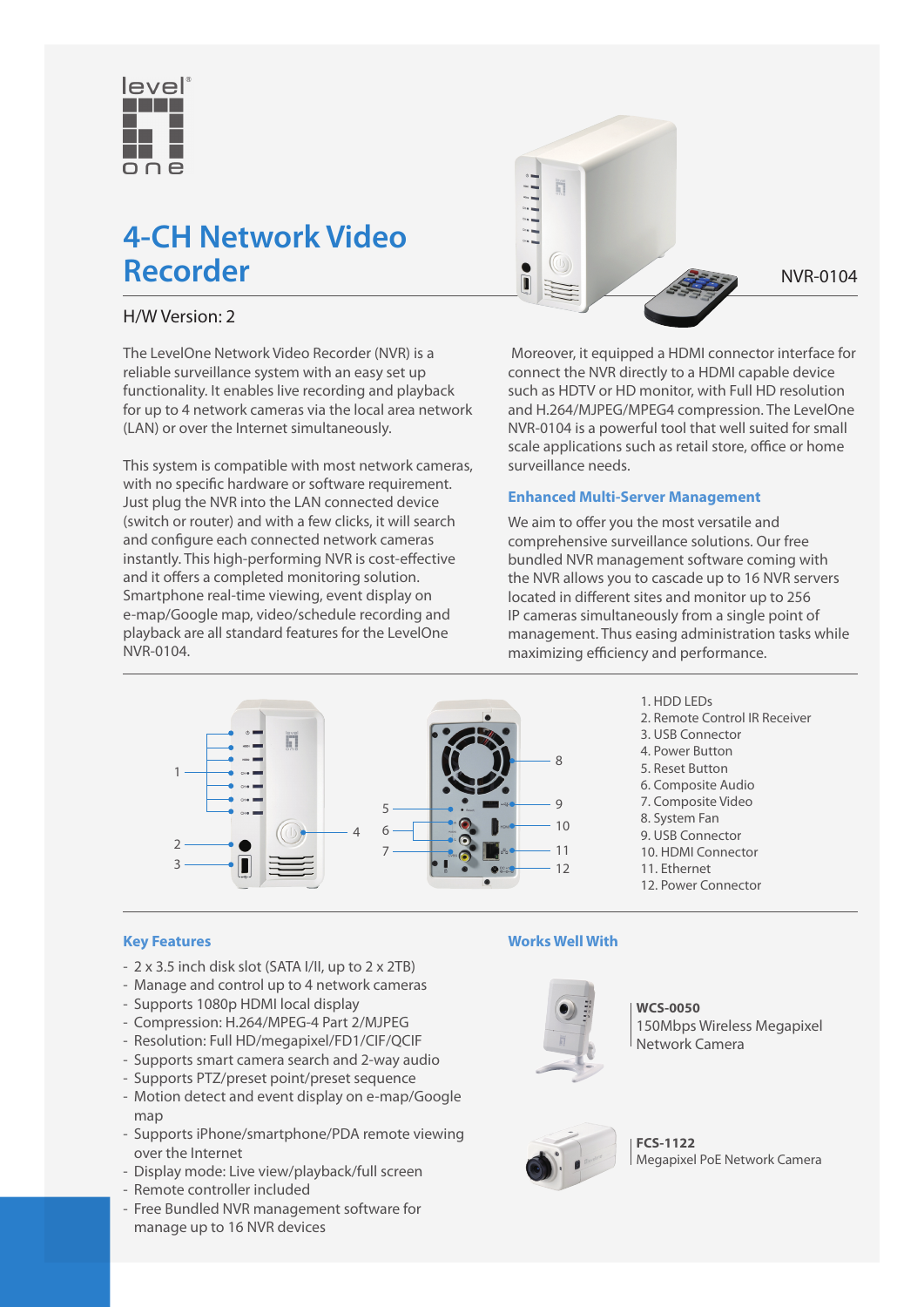

# **4-CH Network Video**  Recorder NVR-0104

# H/W Version: 2

The LevelOne Network Video Recorder (NVR) is a reliable surveillance system with an easy set up functionality. It enables live recording and playback for up to 4 network cameras via the local area network (LAN) or over the Internet simultaneously.

This system is compatible with most network cameras, with no specific hardware or software requirement. Just plug the NVR into the LAN connected device (switch or router) and with a few clicks, it will search and configure each connected network cameras instantly. This high-performing NVR is cost-effective and it offers a completed monitoring solution. Smartphone real-time viewing, event display on e-map/Google map, video/schedule recording and playback are all standard features for the LevelOne NVR-0104.



 Moreover, it equipped a HDMI connector interface for connect the NVR directly to a HDMI capable device such as HDTV or HD monitor, with Full HD resolution and H.264/MJPEG/MPEG4 compression. The LevelOne NVR-0104 is a powerful tool that well suited for small scale applications such as retail store, office or home surveillance needs.

### **Enhanced Multi-Server Management**

We aim to offer you the most versatile and comprehensive surveillance solutions. Our free bundled NVR management software coming with the NVR allows you to cascade up to 16 NVR servers located in different sites and monitor up to 256 IP cameras simultaneously from a single point of management. Thus easing administration tasks while maximizing efficiency and performance.



1. HDD LEDs

- 2. Remote Control IR Receiver
- 3. USB Connector
- 4. Power Button
- 5. Reset Button
- 6. Composite Audio
- 7. Composite Video
- 8. System Fan
- 9. USB Connector 10. HDMI Connector
- 11. Ethernet
- 
- 12. Power Connector

#### **Key Features**

- 2 x 3.5 inch disk slot (SATA I/II, up to 2 x 2TB)
- Manage and control up to 4 network cameras
- Supports 1080p HDMI local display
- Compression: H.264/MPEG-4 Part 2/MJPEG
- Resolution: Full HD/megapixel/FD1/CIF/QCIF
- Supports smart camera search and 2-way audio
- Supports PTZ/preset point/preset sequence
- Motion detect and event display on e-map/Google map
- Supports iPhone/smartphone/PDA remote viewing over the Internet
- Display mode: Live view/playback/full screen
- Remote controller included
- Free Bundled NVR management software for manage up to 16 NVR devices

#### **Works Well With**



**WCS-0050** 150Mbps Wireless Megapixel Network Camera



**FCS-1122** Megapixel PoE Network Camera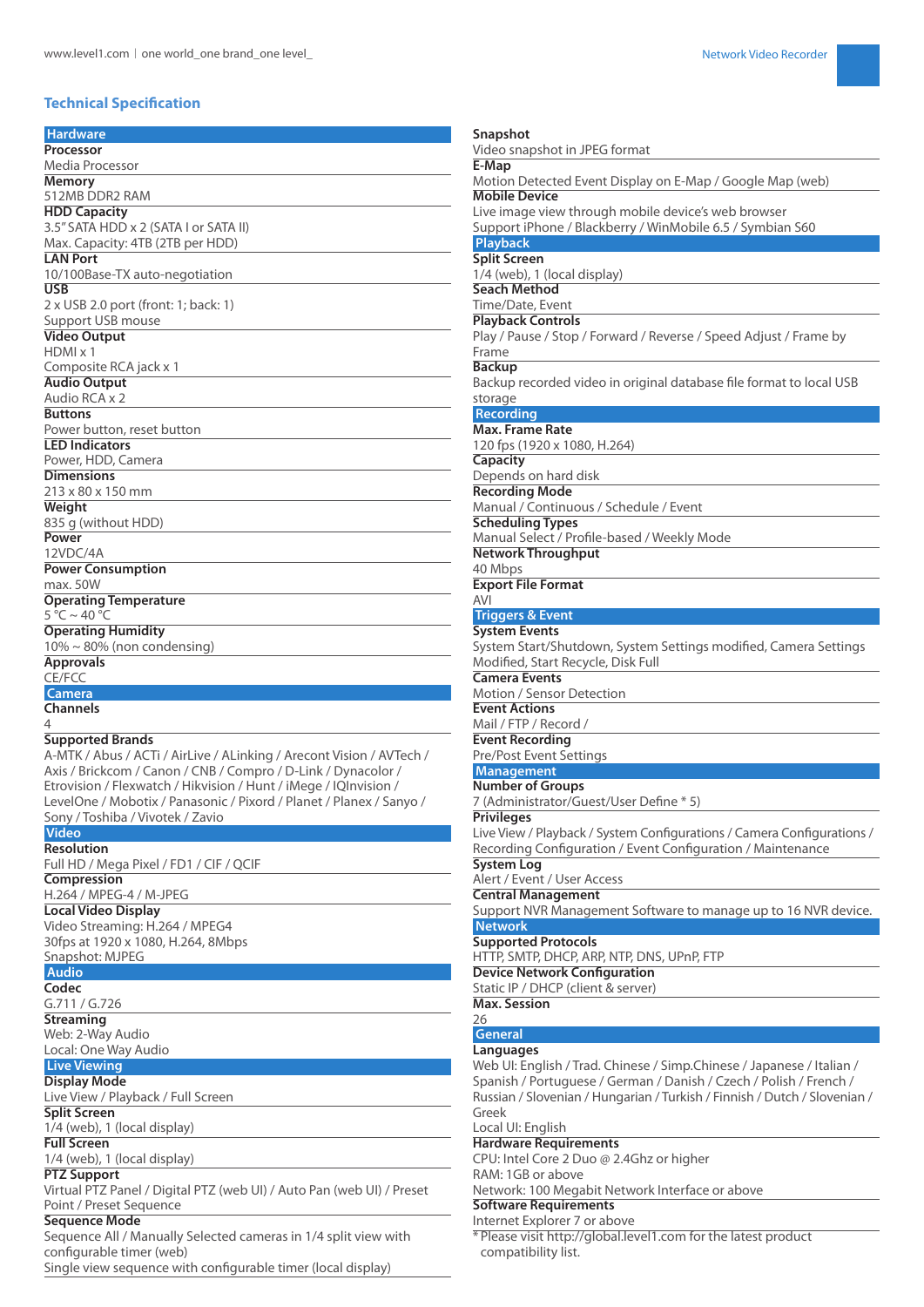## **Technical Specification**

| <b>Hardware</b>                                                                                                                         | Snapshot                                                                                                         |
|-----------------------------------------------------------------------------------------------------------------------------------------|------------------------------------------------------------------------------------------------------------------|
| Processor                                                                                                                               | Video snapshot in JPEG format                                                                                    |
| Media Processor                                                                                                                         | E-Map                                                                                                            |
| <b>Memory</b>                                                                                                                           | Motion Detected Event Display on E-Map / Google Map (web)                                                        |
| 512MB DDR2 RAM                                                                                                                          | <b>Mobile Device</b>                                                                                             |
| <b>HDD Capacity</b><br>3.5" SATA HDD x 2 (SATA I or SATA II)                                                                            | Live image view through mobile device's web browser<br>Support iPhone / Blackberry / WinMobile 6.5 / Symbian S60 |
| Max. Capacity: 4TB (2TB per HDD)                                                                                                        | <b>Playback</b>                                                                                                  |
| <b>LAN Port</b>                                                                                                                         | <b>Split Screen</b>                                                                                              |
| 10/100Base-TX auto-negotiation                                                                                                          | 1/4 (web), 1 (local display)                                                                                     |
| <b>USB</b>                                                                                                                              | <b>Seach Method</b>                                                                                              |
| 2 x USB 2.0 port (front: 1; back: 1)                                                                                                    | Time/Date, Event                                                                                                 |
| Support USB mouse                                                                                                                       | <b>Playback Controls</b>                                                                                         |
| <b>Video Output</b>                                                                                                                     | Play / Pause / Stop / Forward / Reverse / Speed Adjust / Frame by                                                |
| $HDMI \times 1$                                                                                                                         | Frame                                                                                                            |
| Composite RCA jack x 1                                                                                                                  | <b>Backup</b>                                                                                                    |
| <b>Audio Output</b><br>Audio RCA x 2                                                                                                    | Backup recorded video in original database file format to local USB                                              |
| <b>Buttons</b>                                                                                                                          | storage<br><b>Recording</b>                                                                                      |
| Power button, reset button                                                                                                              | Max. Frame Rate                                                                                                  |
| <b>LED Indicators</b>                                                                                                                   | 120 fps (1920 x 1080, H.264)                                                                                     |
| Power, HDD, Camera                                                                                                                      | <b>Capacity</b>                                                                                                  |
| <b>Dimensions</b>                                                                                                                       | Depends on hard disk                                                                                             |
| 213 x 80 x 150 mm                                                                                                                       | <b>Recording Mode</b>                                                                                            |
| Weight                                                                                                                                  | Manual / Continuous / Schedule / Event                                                                           |
| 835 g (without HDD)                                                                                                                     | <b>Scheduling Types</b>                                                                                          |
| Power                                                                                                                                   | Manual Select / Profile-based / Weekly Mode                                                                      |
| 12VDC/4A                                                                                                                                | <b>Network Throughput</b>                                                                                        |
| <b>Power Consumption</b><br>max. 50W                                                                                                    | 40 Mbps<br><b>Export File Format</b>                                                                             |
| <b>Operating Temperature</b>                                                                                                            | AVI                                                                                                              |
| $5 °C \sim 40 °C$                                                                                                                       | <b>Triggers &amp; Event</b>                                                                                      |
| <b>Operating Humidity</b>                                                                                                               | <b>System Events</b>                                                                                             |
| $10\% \sim 80\%$ (non condensing)                                                                                                       | System Start/Shutdown, System Settings modified, Camera Settings                                                 |
| <b>Approvals</b>                                                                                                                        | Modified, Start Recycle, Disk Full                                                                               |
| CE/FCC                                                                                                                                  | <b>Camera Events</b>                                                                                             |
| <b>Camera</b>                                                                                                                           | Motion / Sensor Detection                                                                                        |
| <b>Channels</b>                                                                                                                         | <b>Event Actions</b>                                                                                             |
|                                                                                                                                         |                                                                                                                  |
|                                                                                                                                         | Mail / FTP / Record /                                                                                            |
| <b>Supported Brands</b>                                                                                                                 | <b>Event Recording</b>                                                                                           |
| A-MTK / Abus / ACTi / AirLive / ALinking / Arecont Vision / AVTech /                                                                    | Pre/Post Event Settings                                                                                          |
| Axis / Brickcom / Canon / CNB / Compro / D-Link / Dynacolor /                                                                           | <b>Management</b>                                                                                                |
| Etrovision / Flexwatch / Hikvision / Hunt / iMege / IQInvision /<br>LevelOne / Mobotix / Panasonic / Pixord / Planet / Planex / Sanyo / | <b>Number of Groups</b><br>7 (Administrator/Guest/User Define * 5)                                               |
| Sony / Toshiba / Vivotek / Zavio                                                                                                        | <b>Privileges</b>                                                                                                |
| <b>Video</b>                                                                                                                            | Live View / Playback / System Configurations / Camera Configurations /                                           |
| Resolution                                                                                                                              | Recording Configuration / Event Configuration / Maintenance                                                      |
| Full HD / Mega Pixel / FD1 / CIF / QCIF                                                                                                 | <b>System Log</b>                                                                                                |
| Compression                                                                                                                             | Alert / Event / User Access                                                                                      |
| H.264 / MPEG-4 / M-JPEG                                                                                                                 | <b>Central Management</b>                                                                                        |
| <b>Local Video Display</b>                                                                                                              | Support NVR Management Software to manage up to 16 NVR device.                                                   |
| Video Streaming: H.264 / MPEG4                                                                                                          | <b>Network</b>                                                                                                   |
| 30fps at 1920 x 1080, H.264, 8Mbps                                                                                                      | <b>Supported Protocols</b>                                                                                       |
| Snapshot: MJPEG                                                                                                                         | HTTP, SMTP, DHCP, ARP, NTP, DNS, UPnP, FTP                                                                       |
| <b>Audio</b><br>Codec                                                                                                                   | <b>Device Network Configuration</b><br>Static IP / DHCP (client & server)                                        |
| G.711 / G.726                                                                                                                           | <b>Max. Session</b>                                                                                              |
| <b>Streaming</b>                                                                                                                        | 26                                                                                                               |
| Web: 2-Way Audio                                                                                                                        | General                                                                                                          |
| Local: One Way Audio                                                                                                                    | Languages                                                                                                        |
| <b>Live Viewing</b>                                                                                                                     | Web UI: English / Trad. Chinese / Simp. Chinese / Japanese / Italian /                                           |
| <b>Display Mode</b>                                                                                                                     | Spanish / Portuguese / German / Danish / Czech / Polish / French /                                               |
| Live View / Playback / Full Screen                                                                                                      | Russian / Slovenian / Hungarian / Turkish / Finnish / Dutch / Slovenian /                                        |
| <b>Split Screen</b>                                                                                                                     | Greek                                                                                                            |
| 1/4 (web), 1 (local display)                                                                                                            | Local UI: English                                                                                                |
| <b>Full Screen</b>                                                                                                                      | <b>Hardware Requirements</b>                                                                                     |
| 1/4 (web), 1 (local display)                                                                                                            | CPU: Intel Core 2 Duo @ 2.4Ghz or higher<br>RAM: 1GB or above                                                    |
| <b>PTZ Support</b><br>Virtual PTZ Panel / Digital PTZ (web UI) / Auto Pan (web UI) / Preset                                             | Network: 100 Megabit Network Interface or above                                                                  |
| Point / Preset Sequence                                                                                                                 | <b>Software Requirements</b>                                                                                     |
| <b>Sequence Mode</b>                                                                                                                    | Internet Explorer 7 or above                                                                                     |
| Sequence All / Manually Selected cameras in 1/4 split view with                                                                         | * Please visit http://global.level1.com for the latest product                                                   |
| configurable timer (web)<br>Single view sequence with configurable timer (local display)                                                | compatibility list.                                                                                              |